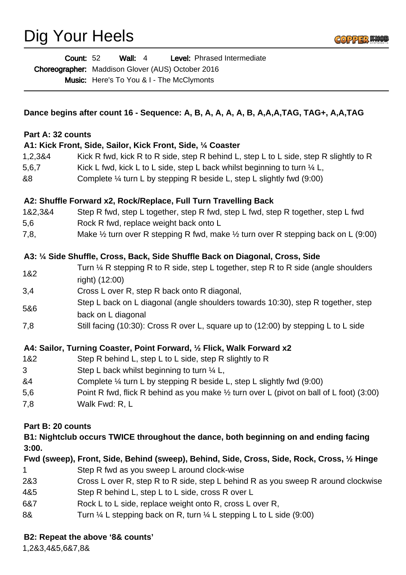# Dig Your Heels



|                                                                                                                 | <b>Wall: 4</b><br>Level: Phrased Intermediate<br><b>Count: 52</b><br>Choreographer: Maddison Glover (AUS) October 2016<br><b>Music:</b> Here's To You & I - The McClymonts |
|-----------------------------------------------------------------------------------------------------------------|----------------------------------------------------------------------------------------------------------------------------------------------------------------------------|
| Dance begins after count 16 - Sequence: A, B, A, A, A, A, B, A, A, A, TAG, TAG+, A, A, TAG<br>Part A: 32 counts |                                                                                                                                                                            |
|                                                                                                                 |                                                                                                                                                                            |
| 1,2,3&4                                                                                                         | Kick R fwd, kick R to R side, step R behind L, step L to L side, step R slightly to R                                                                                      |
| 5,6,7                                                                                                           | Kick L fwd, kick L to L side, step L back whilst beginning to turn $\frac{1}{4}$ L,                                                                                        |
| &8                                                                                                              | Complete $\frac{1}{4}$ turn L by stepping R beside L, step L slightly fwd (9:00)                                                                                           |
|                                                                                                                 | A2: Shuffle Forward x2, Rock/Replace, Full Turn Travelling Back                                                                                                            |
| 1&2,3&4                                                                                                         | Step R fwd, step L together, step R fwd, step L fwd, step R together, step L fwd                                                                                           |
| 5,6                                                                                                             | Rock R fwd, replace weight back onto L                                                                                                                                     |
| 7,8,                                                                                                            | Make $\frac{1}{2}$ turn over R stepping R fwd, make $\frac{1}{2}$ turn over R stepping back on L (9:00)                                                                    |
|                                                                                                                 | A3: 1/4 Side Shuffle, Cross, Back, Side Shuffle Back on Diagonal, Cross, Side                                                                                              |
| 1&2                                                                                                             | Turn $\frac{1}{4}$ R stepping R to R side, step L together, step R to R side (angle shoulders<br>right) (12:00)                                                            |
| 3,4                                                                                                             | Cross L over R, step R back onto R diagonal,                                                                                                                               |
|                                                                                                                 | Step L back on L diagonal (angle shoulders towards 10:30), step R together, step                                                                                           |
| 5&6                                                                                                             | back on L diagonal                                                                                                                                                         |
| 7,8                                                                                                             | Still facing (10:30): Cross R over L, square up to (12:00) by stepping L to L side                                                                                         |
| A4: Sailor, Turning Coaster, Point Forward, 1/2 Flick, Walk Forward x2                                          |                                                                                                                                                                            |
| 1&2                                                                                                             | Step R behind L, step L to L side, step R slightly to R                                                                                                                    |
| 3                                                                                                               | Step L back whilst beginning to turn 1/4 L,                                                                                                                                |
| &4                                                                                                              | Complete $\frac{1}{4}$ turn L by stepping R beside L, step L slightly fwd (9:00)                                                                                           |
| 5,6                                                                                                             | Point R fwd, flick R behind as you make $\frac{1}{2}$ turn over L (pivot on ball of L foot) (3:00)                                                                         |
| 7,8                                                                                                             | Walk Fwd: R, L                                                                                                                                                             |
| Part B: 20 counts                                                                                               |                                                                                                                                                                            |
| B1: Nightclub occurs TWICE throughout the dance, both beginning on and ending facing<br>3:00.                   |                                                                                                                                                                            |
|                                                                                                                 | Fwd (sweep), Front, Side, Behind (sweep), Behind, Side, Cross, Side, Rock, Cross, 1/2 Hinge                                                                                |
| 1                                                                                                               | Step R fwd as you sweep L around clock-wise                                                                                                                                |
| 2&3                                                                                                             | Cross L over R, step R to R side, step L behind R as you sweep R around clockwise                                                                                          |

- 4&5 Step R behind L, step L to L side, cross R over L
- 6&7 Rock L to L side, replace weight onto R, cross L over R,
- 8& Turn ¼ L stepping back on R, turn ¼ L stepping L to L side (9:00)

## **B2: Repeat the above '8& counts'**

1,2&3,4&5,6&7,8&